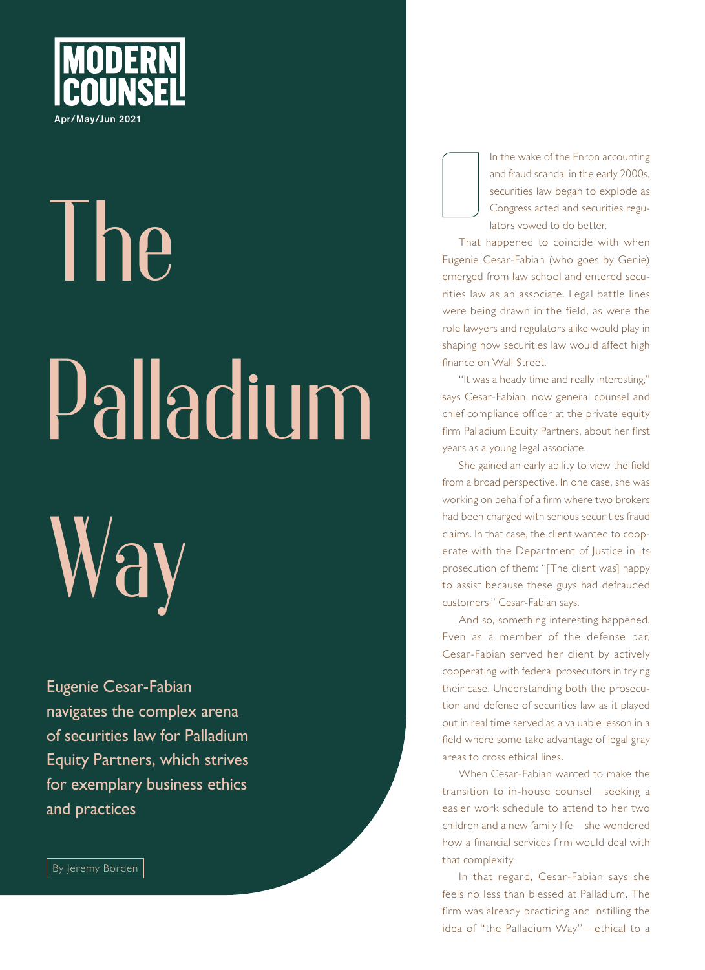

## **The Palladium**

**Way**

Eugenie Cesar-Fabian navigates the complex arena of securities law for Palladium Equity Partners, which strives for exemplary business ethics and practices

By Jeremy Borden

In the wake of the Enron accounting and fraud scandal in the early 2000s, securities law began to explode as Congress acted and securities regulators vowed to do better.

That happened to coincide with when Eugenie Cesar-Fabian (who goes by Genie) emerged from law school and entered securities law as an associate. Legal battle lines were being drawn in the field, as were the role lawyers and regulators alike would play in shaping how securities law would affect high finance on Wall Street.

"It was a heady time and really interesting," says Cesar-Fabian, now general counsel and chief compliance officer at the private equity firm Palladium Equity Partners, about her first years as a young legal associate.

She gained an early ability to view the field from a broad perspective. In one case, she was working on behalf of a firm where two brokers had been charged with serious securities fraud claims. In that case, the client wanted to cooperate with the Department of Justice in its prosecution of them: "[The client was] happy to assist because these guys had defrauded customers," Cesar-Fabian says.

And so, something interesting happened. Even as a member of the defense bar, Cesar-Fabian served her client by actively cooperating with federal prosecutors in trying their case. Understanding both the prosecution and defense of securities law as it played out in real time served as a valuable lesson in a field where some take advantage of legal gray areas to cross ethical lines.

When Cesar-Fabian wanted to make the transition to in-house counsel—seeking a easier work schedule to attend to her two children and a new family life—she wondered how a financial services firm would deal with that complexity.

In that regard, Cesar-Fabian says she feels no less than blessed at Palladium. The firm was already practicing and instilling the idea of "the Palladium Way"—ethical to a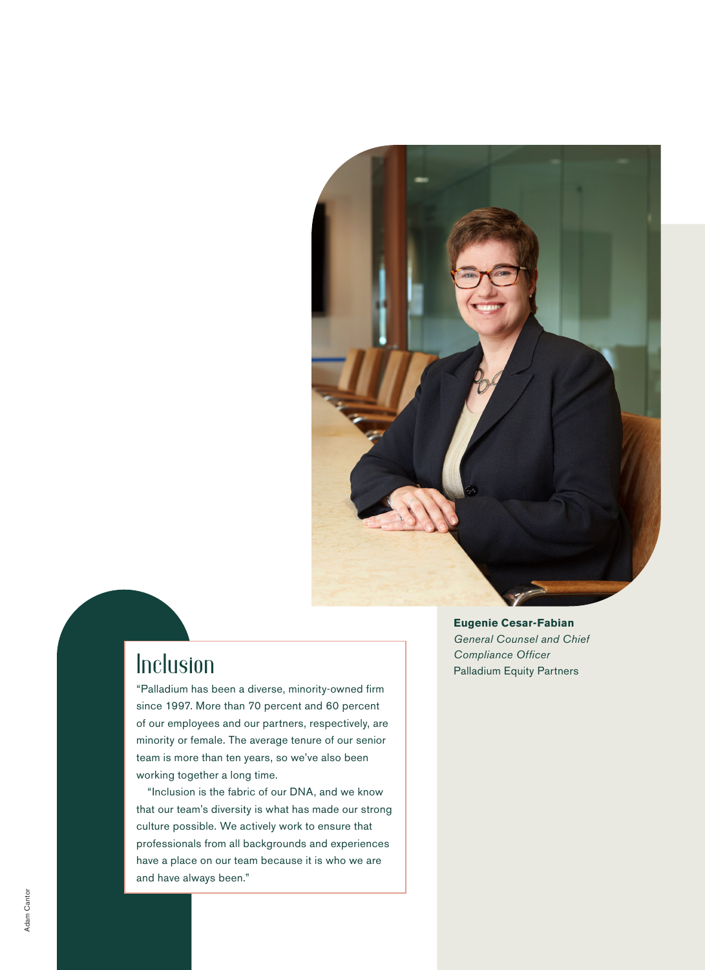

"Palladium has been a diverse, minority-owned firm since 1997. More than 70 percent and 60 percent of our employees and our partners, respectively, are minority or female. The average tenure of our senior team is more than ten years, so we've also been working together a long time.

"Inclusion is the fabric of our DNA, and we know that our team's diversity is what has made our strong culture possible. We actively work to ensure that professionals from all backgrounds and experiences have a place on our team because it is who we are and have always been."

**Eugenie Cesar-Fabian**  *General Counsel and Chief*  **Inclusion** Compliance Officer<br>Palladium Equity Partners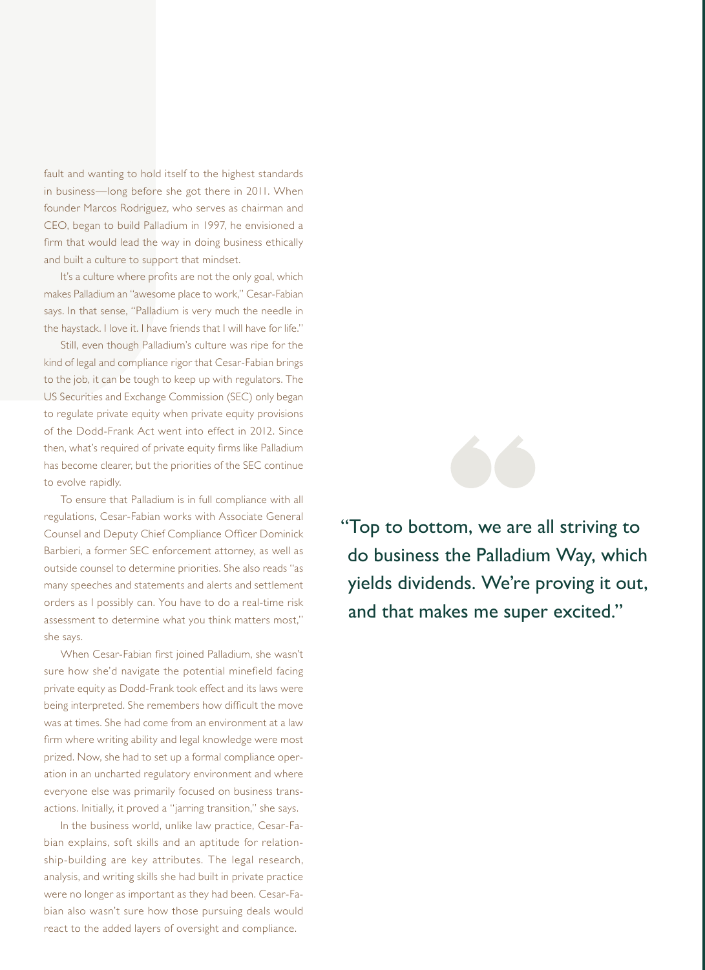fault and wanting to hold itself to the highest standards in business—long before she got there in 2011. When founder Marcos Rodriguez, who serves as chairman and CEO, began to build Palladium in 1997, he envisioned a firm that would lead the way in doing business ethically and built a culture to support that mindset.

It's a culture where profits are not the only goal, which makes Palladium an "awesome place to work," Cesar-Fabian says. In that sense, "Palladium is very much the needle in the haystack. I love it. I have friends that I will have for life."

Still, even though Palladium's culture was ripe for the kind of legal and compliance rigor that Cesar-Fabian brings to the job, it can be tough to keep up with regulators. The US Securities and Exchange Commission (SEC) only began to regulate private equity when private equity provisions of the Dodd-Frank Act went into effect in 2012. Since then, what's required of private equity firms like Palladium has become clearer, but the priorities of the SEC continue to evolve rapidly.

To ensure that Palladium is in full compliance with all regulations, Cesar-Fabian works with Associate General Counsel and Deputy Chief Compliance Officer Dominick Barbieri, a former SEC enforcement attorney, as well as outside counsel to determine priorities. She also reads "as many speeches and statements and alerts and settlement orders as I possibly can. You have to do a real-time risk assessment to determine what you think matters most," she says.

When Cesar-Fabian first joined Palladium, she wasn't sure how she'd navigate the potential minefield facing private equity as Dodd-Frank took effect and its laws were being interpreted. She remembers how difficult the move was at times. She had come from an environment at a law firm where writing ability and legal knowledge were most prized. Now, she had to set up a formal compliance operation in an uncharted regulatory environment and where everyone else was primarily focused on business transactions. Initially, it proved a "jarring transition," she says.

In the business world, unlike law practice, Cesar-Fabian explains, soft skills and an aptitude for relationship-building are key attributes. The legal research, analysis, and writing skills she had built in private practice were no longer as important as they had been. Cesar-Fabian also wasn't sure how those pursuing deals would react to the added layers of oversight and compliance.



"Top to bottom, we are all striving to do business the Palladium Way, which yields dividends. We're proving it out, and that makes me super excited."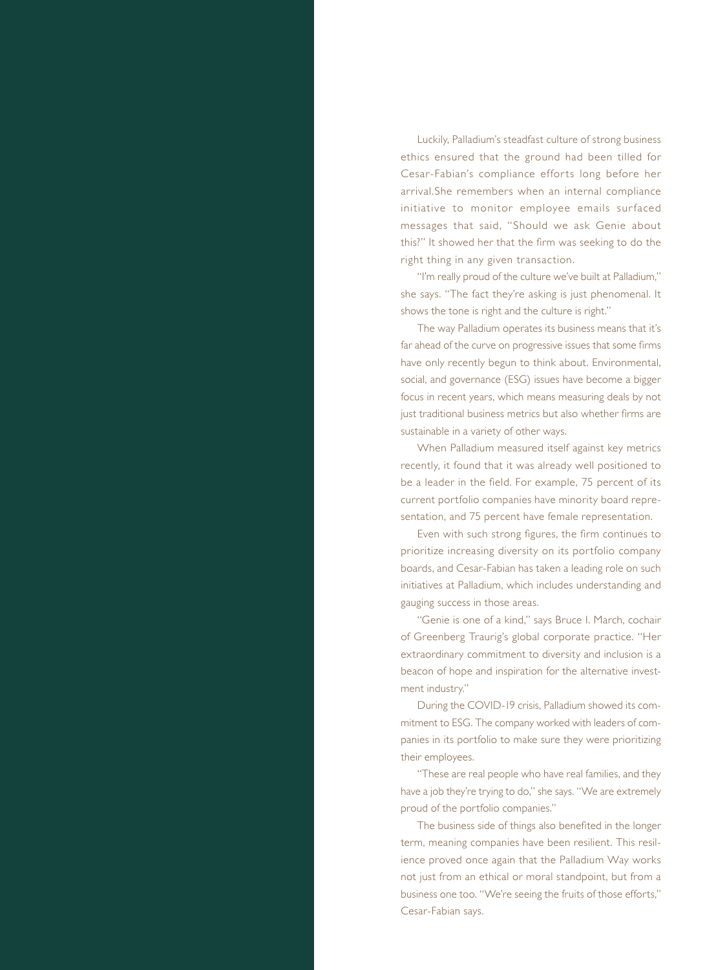Luckily, Palladium's steadfast culture of strong business ethics ensured that the ground had been tilled for Cesar-Fabian's compliance efforts long before her arrival.She remembers when an internal compliance initiative to monitor employee emails surfaced messages that said, "Should we ask Genie about this?" It showed her that the firm was seeking to do the right thing in any given transaction.

"I'm really proud of the culture we've built at Palladium," she says. "The fact they're asking is just phenomenal. It shows the tone is right and the culture is right."

The way Palladium operates its business means that it's far ahead of the curve on progressive issues that some firms have only recently begun to think about. Environmental, social, and governance (ESG) issues have become a bigger focus in recent years, which means measuring deals by not just traditional business metrics but also whether firms are sustainable in a variety of other ways.

When Palladium measured itself against key metrics recently, it found that it was already well positioned to be a leader in the field. For example, 75 percent of its current portfolio companies have minority board representation, and 75 percent have female representation.

Even with such strong figures, the firm continues to prioritize increasing diversity on its portfolio company boards, and Cesar-Fabian has taken a leading role on such initiatives at Palladium, which includes understanding and gauging success in those areas.

"Genie is one of a kind," says Bruce I. March, cochair of Greenberg Traurig's global corporate practice. "Her extraordinary commitment to diversity and inclusion is a beacon of hope and inspiration for the alternative investment industry."

During the COVID-19 crisis, Palladium showed its commitment to ESG. The company worked with leaders of companies in its portfolio to make sure they were prioritizing their employees.

"These are real people who have real families, and they have a job they're trying to do," she says. "We are extremely proud of the portfolio companies."

The business side of things also benefited in the longer term, meaning companies have been resilient. This resilience proved once again that the Palladium Way works not just from an ethical or moral standpoint, but from a business one too. "We're seeing the fruits of those efforts," Cesar-Fabian says.